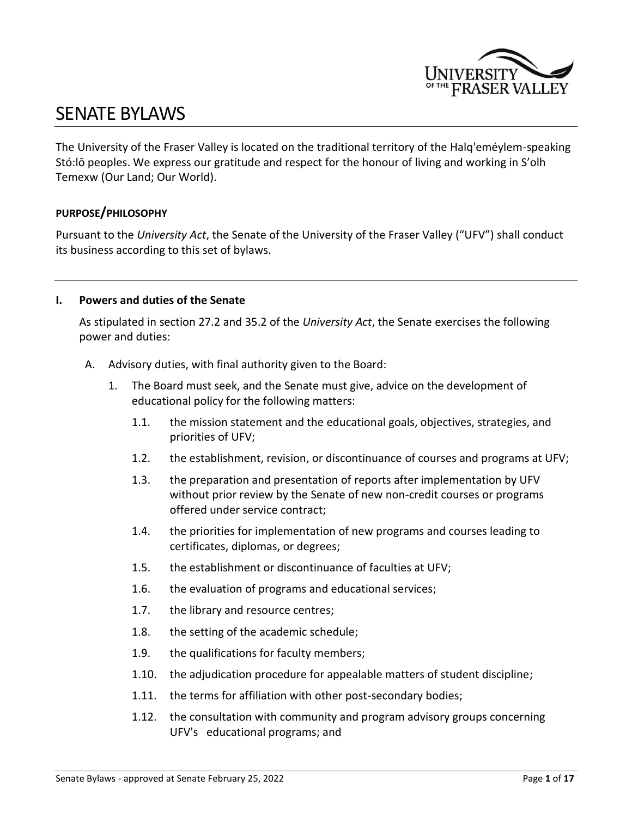

# SENATE BYLAWS

The University of the Fraser Valley is located on the traditional territory of the Halq'eméylem-speaking Stó:lō peoples. We express our gratitude and respect for the honour of living and working in S'olh Temexw (Our Land; Our World).

#### **PURPOSE/PHILOSOPHY**

Pursuant to the *University Act*, the Senate of the University of the Fraser Valley ("UFV") shall conduct its business according to this set of bylaws.

#### **I. Powers and duties of the Senate**

As stipulated in section 27.2 and 35.2 of the *University Act*, the Senate exercises the following power and duties:

- A. Advisory duties, with final authority given to the Board:
	- 1. The Board must seek, and the Senate must give, advice on the development of educational policy for the following matters:
		- 1.1. the mission statement and the educational goals, objectives, strategies, and priorities of UFV;
		- 1.2. the establishment, revision, or discontinuance of courses and programs at UFV;
		- 1.3. the preparation and presentation of reports after implementation by UFV without prior review by the Senate of new non-credit courses or programs offered under service contract;
		- 1.4. the priorities for implementation of new programs and courses leading to certificates, diplomas, or degrees;
		- 1.5. the establishment or discontinuance of faculties at UFV;
		- 1.6. the evaluation of programs and educational services;
		- 1.7. the library and resource centres;
		- 1.8. the setting of the academic schedule;
		- 1.9. the qualifications for faculty members;
		- 1.10. the adjudication procedure for appealable matters of student discipline;
		- 1.11. the terms for affiliation with other post-secondary bodies;
		- 1.12. the consultation with community and program advisory groups concerning UFV's educational programs; and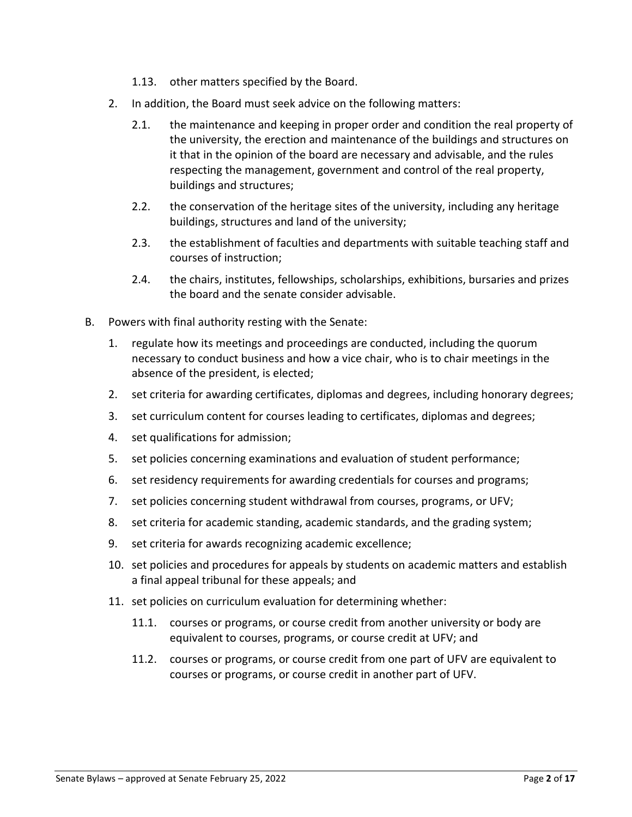- 1.13. other matters specified by the Board.
- 2. In addition, the Board must seek advice on the following matters:
	- 2.1. the maintenance and keeping in proper order and condition the real property of the university, the erection and maintenance of the buildings and structures on it that in the opinion of the board are necessary and advisable, and the rules respecting the management, government and control of the real property, buildings and structures;
	- 2.2. the conservation of the heritage sites of the university, including any heritage buildings, structures and land of the university;
	- 2.3. the establishment of faculties and departments with suitable teaching staff and courses of instruction;
	- 2.4. the chairs, institutes, fellowships, scholarships, exhibitions, bursaries and prizes the board and the senate consider advisable.
- B. Powers with final authority resting with the Senate:
	- 1. regulate how its meetings and proceedings are conducted, including the quorum necessary to conduct business and how a vice chair, who is to chair meetings in the absence of the president, is elected;
	- 2. set criteria for awarding certificates, diplomas and degrees, including honorary degrees;
	- 3. set curriculum content for courses leading to certificates, diplomas and degrees;
	- 4. set qualifications for admission;
	- 5. set policies concerning examinations and evaluation of student performance;
	- 6. set residency requirements for awarding credentials for courses and programs;
	- 7. set policies concerning student withdrawal from courses, programs, or UFV;
	- 8. set criteria for academic standing, academic standards, and the grading system;
	- 9. set criteria for awards recognizing academic excellence;
	- 10. set policies and procedures for appeals by students on academic matters and establish a final appeal tribunal for these appeals; and
	- 11. set policies on curriculum evaluation for determining whether:
		- 11.1. courses or programs, or course credit from another university or body are equivalent to courses, programs, or course credit at UFV; and
		- 11.2. courses or programs, or course credit from one part of UFV are equivalent to courses or programs, or course credit in another part of UFV.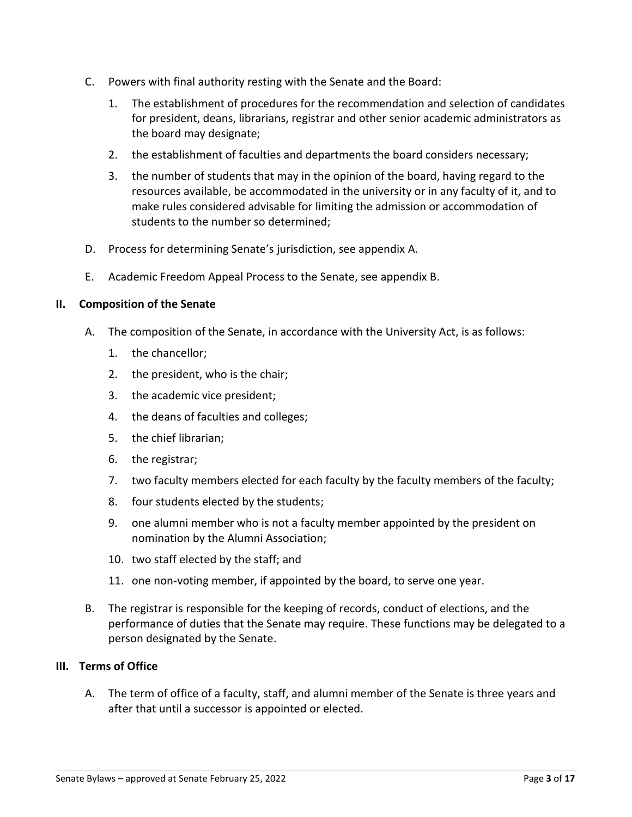- C. Powers with final authority resting with the Senate and the Board:
	- 1. The establishment of procedures for the recommendation and selection of candidates for president, deans, librarians, registrar and other senior academic administrators as the board may designate;
	- 2. the establishment of faculties and departments the board considers necessary;
	- 3. the number of students that may in the opinion of the board, having regard to the resources available, be accommodated in the university or in any faculty of it, and to make rules considered advisable for limiting the admission or accommodation of students to the number so determined;
- D. Process for determining Senate's jurisdiction, see appendix A.
- E. Academic Freedom Appeal Process to the Senate, see appendix B.

#### **II. Composition of the Senate**

- A. The composition of the Senate, in accordance with the University Act, is as follows:
	- 1. the chancellor;
	- 2. the president, who is the chair;
	- 3. the academic vice president;
	- 4. the deans of faculties and colleges;
	- 5. the chief librarian;
	- 6. the registrar;
	- 7. two faculty members elected for each faculty by the faculty members of the faculty;
	- 8. four students elected by the students;
	- 9. one alumni member who is not a faculty member appointed by the president on nomination by the Alumni Association;
	- 10. two staff elected by the staff; and
	- 11. one non-voting member, if appointed by the board, to serve one year.
- B. The registrar is responsible for the keeping of records, conduct of elections, and the performance of duties that the Senate may require. These functions may be delegated to a person designated by the Senate.

#### **III. Terms of Office**

A. The term of office of a faculty, staff, and alumni member of the Senate is three years and after that until a successor is appointed or elected.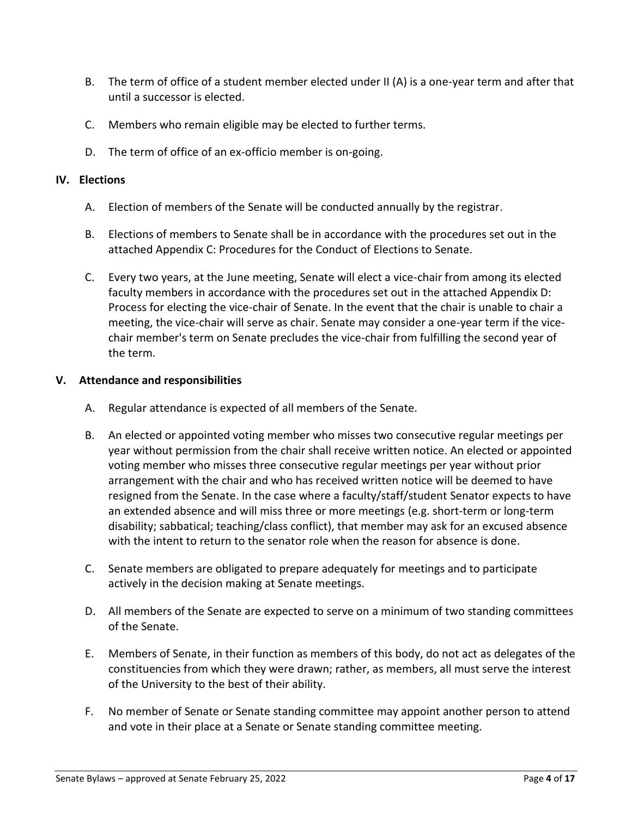- B. The term of office of a student member elected under II (A) is a one-year term and after that until a successor is elected.
- C. Members who remain eligible may be elected to further terms.
- D. The term of office of an ex-officio member is on-going.

## **IV. Elections**

- A. Election of members of the Senate will be conducted annually by the registrar.
- B. Elections of members to Senate shall be in accordance with the procedures set out in the attached Appendix C: Procedures for the Conduct of Elections to Senate.
- C. Every two years, at the June meeting, Senate will elect a vice-chair from among its elected faculty members in accordance with the procedures set out in the attached Appendix D: Process for electing the vice-chair of Senate. In the event that the chair is unable to chair a meeting, the vice-chair will serve as chair. Senate may consider a one-year term if the vicechair member's term on Senate precludes the vice-chair from fulfilling the second year of the term.

## **V. Attendance and responsibilities**

- A. Regular attendance is expected of all members of the Senate.
- B. An elected or appointed voting member who misses two consecutive regular meetings per year without permission from the chair shall receive written notice. An elected or appointed voting member who misses three consecutive regular meetings per year without prior arrangement with the chair and who has received written notice will be deemed to have resigned from the Senate. In the case where a faculty/staff/student Senator expects to have an extended absence and will miss three or more meetings (e.g. short-term or long-term disability; sabbatical; teaching/class conflict), that member may ask for an excused absence with the intent to return to the senator role when the reason for absence is done.
- C. Senate members are obligated to prepare adequately for meetings and to participate actively in the decision making at Senate meetings.
- D. All members of the Senate are expected to serve on a minimum of two standing committees of the Senate.
- E. Members of Senate, in their function as members of this body, do not act as delegates of the constituencies from which they were drawn; rather, as members, all must serve the interest of the University to the best of their ability.
- F. No member of Senate or Senate standing committee may appoint another person to attend and vote in their place at a Senate or Senate standing committee meeting.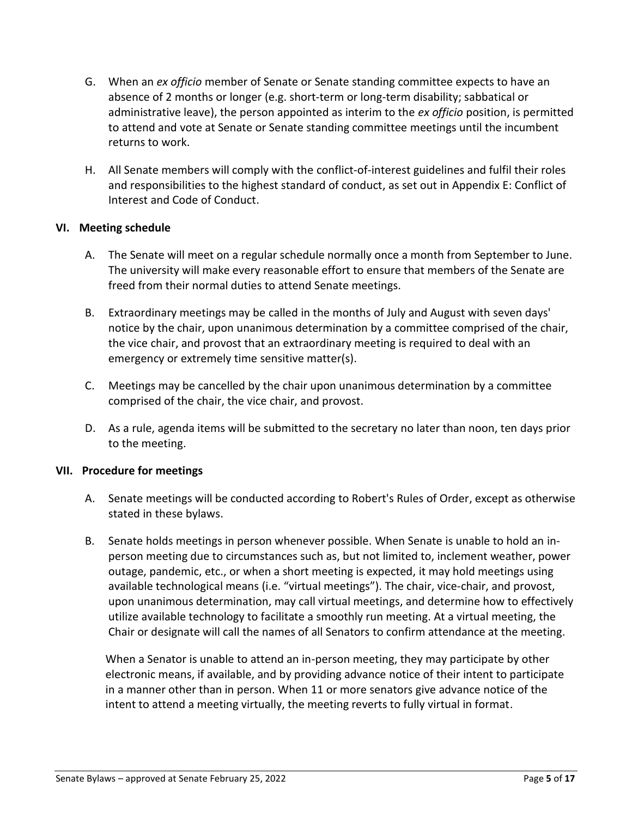- G. When an *ex officio* member of Senate or Senate standing committee expects to have an absence of 2 months or longer (e.g. short-term or long-term disability; sabbatical or administrative leave), the person appointed as interim to the *ex officio* position, is permitted to attend and vote at Senate or Senate standing committee meetings until the incumbent returns to work.
- H. All Senate members will comply with the conflict-of-interest guidelines and fulfil their roles and responsibilities to the highest standard of conduct, as set out in Appendix E: Conflict of Interest and Code of Conduct.

## **VI. Meeting schedule**

- A. The Senate will meet on a regular schedule normally once a month from September to June. The university will make every reasonable effort to ensure that members of the Senate are freed from their normal duties to attend Senate meetings.
- B. Extraordinary meetings may be called in the months of July and August with seven days' notice by the chair, upon unanimous determination by a committee comprised of the chair, the vice chair, and provost that an extraordinary meeting is required to deal with an emergency or extremely time sensitive matter(s).
- C. Meetings may be cancelled by the chair upon unanimous determination by a committee comprised of the chair, the vice chair, and provost.
- D. As a rule, agenda items will be submitted to the secretary no later than noon, ten days prior to the meeting.

#### **VII. Procedure for meetings**

- A. Senate meetings will be conducted according to Robert's Rules of Order, except as otherwise stated in these bylaws.
- B. Senate holds meetings in person whenever possible. When Senate is unable to hold an inperson meeting due to circumstances such as, but not limited to, inclement weather, power outage, pandemic, etc., or when a short meeting is expected, it may hold meetings using available technological means (i.e. "virtual meetings"). The chair, vice-chair, and provost, upon unanimous determination, may call virtual meetings, and determine how to effectively utilize available technology to facilitate a smoothly run meeting. At a virtual meeting, the Chair or designate will call the names of all Senators to confirm attendance at the meeting.

When a Senator is unable to attend an in-person meeting, they may participate by other electronic means, if available, and by providing advance notice of their intent to participate in a manner other than in person. When 11 or more senators give advance notice of the intent to attend a meeting virtually, the meeting reverts to fully virtual in format.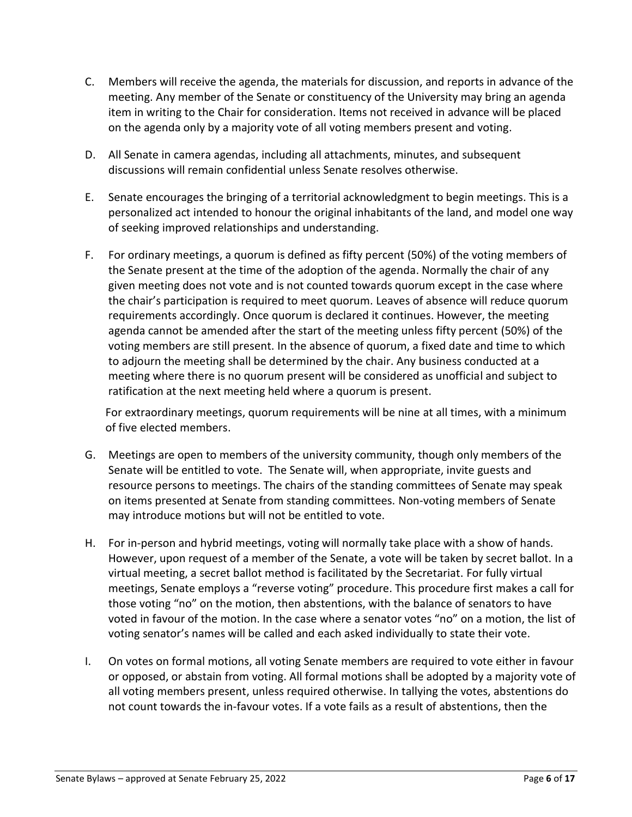- C. Members will receive the agenda, the materials for discussion, and reports in advance of the meeting. Any member of the Senate or constituency of the University may bring an agenda item in writing to the Chair for consideration. Items not received in advance will be placed on the agenda only by a majority vote of all voting members present and voting.
- D. All Senate in camera agendas, including all attachments, minutes, and subsequent discussions will remain confidential unless Senate resolves otherwise.
- E. Senate encourages the bringing of a territorial acknowledgment to begin meetings. This is a personalized act intended to honour the original inhabitants of the land, and model one way of seeking improved relationships and understanding.
- F. For ordinary meetings, a quorum is defined as fifty percent (50%) of the voting members of the Senate present at the time of the adoption of the agenda. Normally the chair of any given meeting does not vote and is not counted towards quorum except in the case where the chair's participation is required to meet quorum. Leaves of absence will reduce quorum requirements accordingly. Once quorum is declared it continues. However, the meeting agenda cannot be amended after the start of the meeting unless fifty percent (50%) of the voting members are still present. In the absence of quorum, a fixed date and time to which to adjourn the meeting shall be determined by the chair. Any business conducted at a meeting where there is no quorum present will be considered as unofficial and subject to ratification at the next meeting held where a quorum is present.

For extraordinary meetings, quorum requirements will be nine at all times, with a minimum of five elected members.

- G. Meetings are open to members of the university community, though only members of the Senate will be entitled to vote. The Senate will, when appropriate, invite guests and resource persons to meetings. The chairs of the standing committees of Senate may speak on items presented at Senate from standing committees. Non-voting members of Senate may introduce motions but will not be entitled to vote.
- H. For in-person and hybrid meetings, voting will normally take place with a show of hands. However, upon request of a member of the Senate, a vote will be taken by secret ballot. In a virtual meeting, a secret ballot method is facilitated by the Secretariat. For fully virtual meetings, Senate employs a "reverse voting" procedure. This procedure first makes a call for those voting "no" on the motion, then abstentions, with the balance of senators to have voted in favour of the motion. In the case where a senator votes "no" on a motion, the list of voting senator's names will be called and each asked individually to state their vote.
- I. On votes on formal motions, all voting Senate members are required to vote either in favour or opposed, or abstain from voting. All formal motions shall be adopted by a majority vote of all voting members present, unless required otherwise. In tallying the votes, abstentions do not count towards the in-favour votes. If a vote fails as a result of abstentions, then the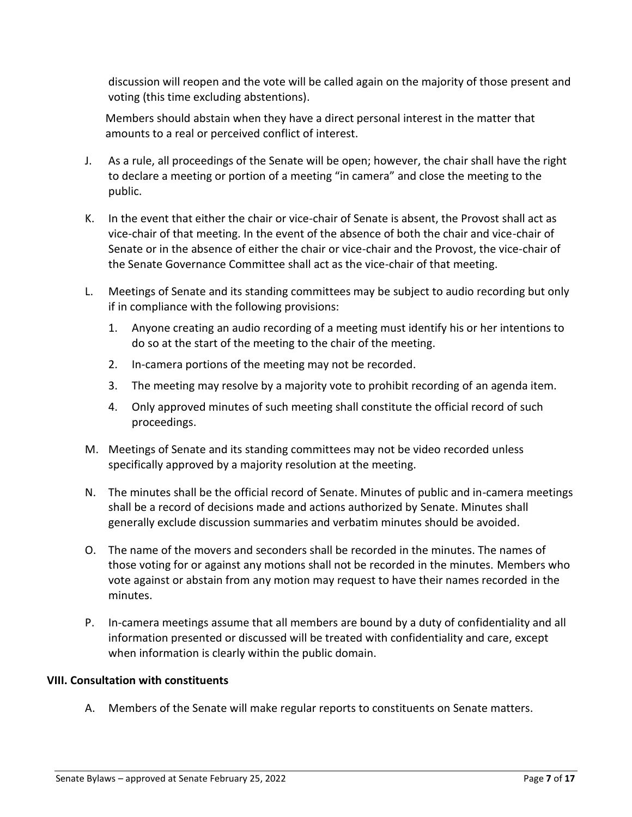discussion will reopen and the vote will be called again on the majority of those present and voting (this time excluding abstentions).

Members should abstain when they have a direct personal interest in the matter that amounts to a real or perceived conflict of interest.

- J. As a rule, all proceedings of the Senate will be open; however, the chair shall have the right to declare a meeting or portion of a meeting "in camera" and close the meeting to the public.
- K. In the event that either the chair or vice-chair of Senate is absent, the Provost shall act as vice-chair of that meeting. In the event of the absence of both the chair and vice-chair of Senate or in the absence of either the chair or vice-chair and the Provost, the vice-chair of the Senate Governance Committee shall act as the vice-chair of that meeting.
- L. Meetings of Senate and its standing committees may be subject to audio recording but only if in compliance with the following provisions:
	- 1. Anyone creating an audio recording of a meeting must identify his or her intentions to do so at the start of the meeting to the chair of the meeting.
	- 2. In-camera portions of the meeting may not be recorded.
	- 3. The meeting may resolve by a majority vote to prohibit recording of an agenda item.
	- 4. Only approved minutes of such meeting shall constitute the official record of such proceedings.
- M. Meetings of Senate and its standing committees may not be video recorded unless specifically approved by a majority resolution at the meeting.
- N. The minutes shall be the official record of Senate. Minutes of public and in-camera meetings shall be a record of decisions made and actions authorized by Senate. Minutes shall generally exclude discussion summaries and verbatim minutes should be avoided.
- O. The name of the movers and seconders shall be recorded in the minutes. The names of those voting for or against any motions shall not be recorded in the minutes. Members who vote against or abstain from any motion may request to have their names recorded in the minutes.
- P. In-camera meetings assume that all members are bound by a duty of confidentiality and all information presented or discussed will be treated with confidentiality and care, except when information is clearly within the public domain.

# **VIII. Consultation with constituents**

A. Members of the Senate will make regular reports to constituents on Senate matters.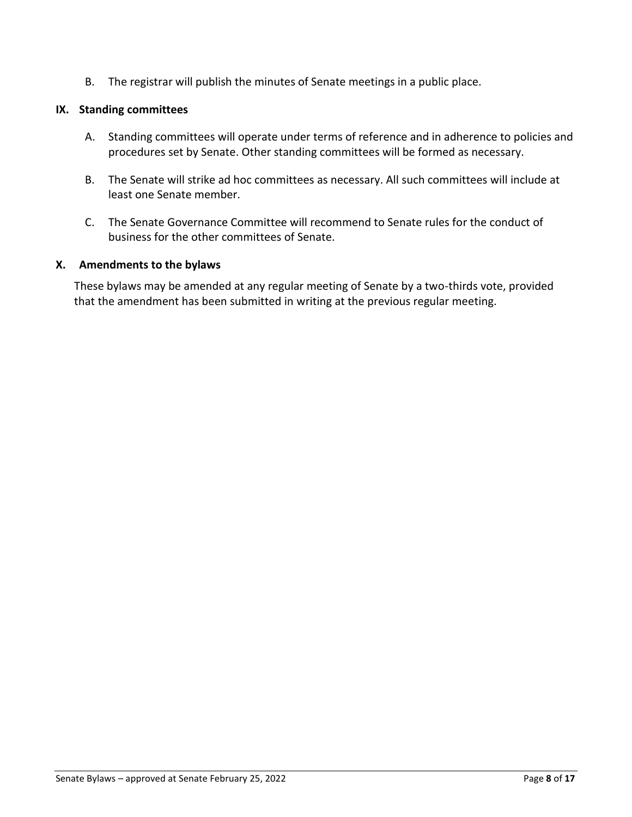B. The registrar will publish the minutes of Senate meetings in a public place.

#### **IX. Standing committees**

- A. Standing committees will operate under terms of reference and in adherence to policies and procedures set by Senate. Other standing committees will be formed as necessary.
- B. The Senate will strike ad hoc committees as necessary. All such committees will include at least one Senate member.
- C. The Senate Governance Committee will recommend to Senate rules for the conduct of business for the other committees of Senate.

#### **X. Amendments to the bylaws**

These bylaws may be amended at any regular meeting of Senate by a two-thirds vote, provided that the amendment has been submitted in writing at the previous regular meeting.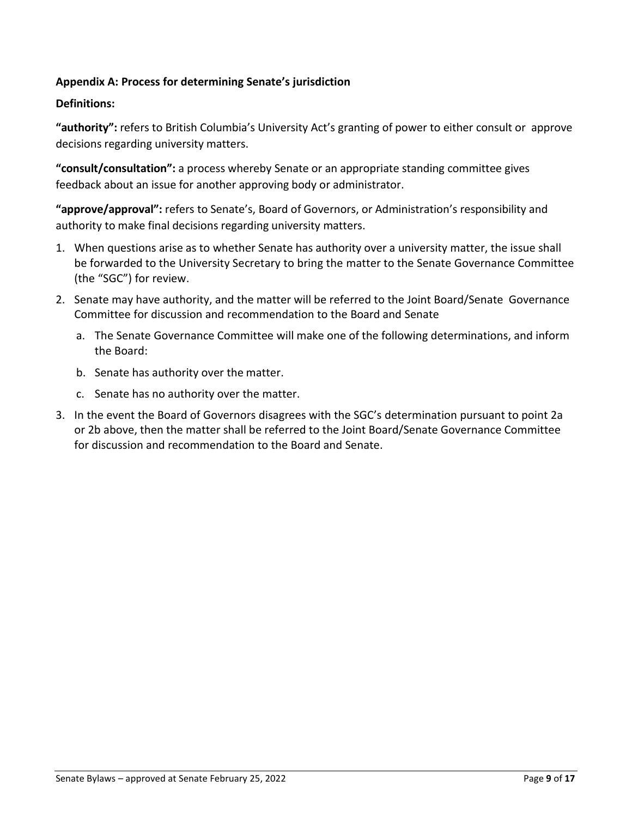# **Appendix A: Process for determining Senate's jurisdiction**

# **Definitions:**

**"authority":** refers to British Columbia's University Act's granting of power to either consult or approve decisions regarding university matters.

**"consult/consultation":** a process whereby Senate or an appropriate standing committee gives feedback about an issue for another approving body or administrator.

**"approve/approval":** refers to Senate's, Board of Governors, or Administration's responsibility and authority to make final decisions regarding university matters.

- 1. When questions arise as to whether Senate has authority over a university matter, the issue shall be forwarded to the University Secretary to bring the matter to the Senate Governance Committee (the "SGC") for review.
- 2. Senate may have authority, and the matter will be referred to the Joint Board/Senate Governance Committee for discussion and recommendation to the Board and Senate
	- a. The Senate Governance Committee will make one of the following determinations, and inform the Board:
	- b. Senate has authority over the matter.
	- c. Senate has no authority over the matter.
- 3. In the event the Board of Governors disagrees with the SGC's determination pursuant to point 2a or 2b above, then the matter shall be referred to the Joint Board/Senate Governance Committee for discussion and recommendation to the Board and Senate.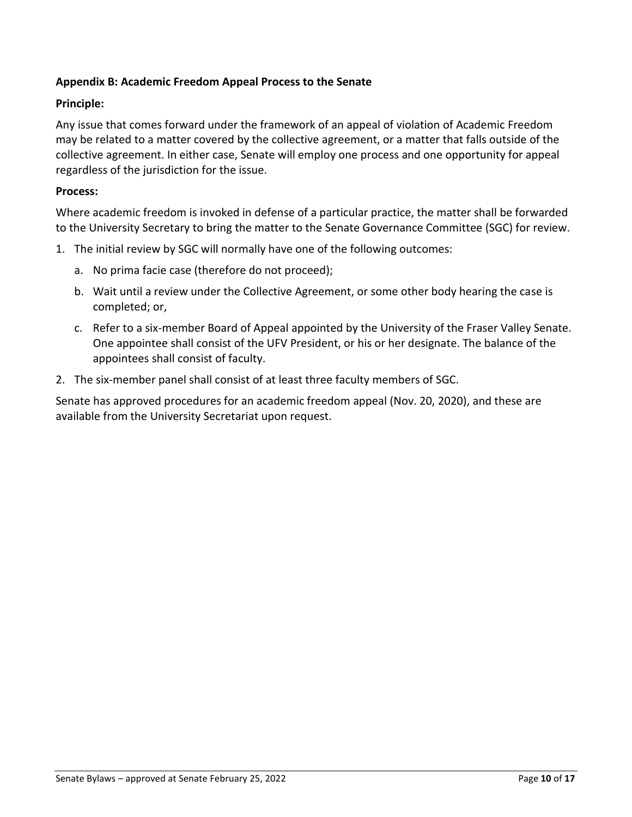# **Appendix B: Academic Freedom Appeal Process to the Senate**

#### **Principle:**

Any issue that comes forward under the framework of an appeal of violation of Academic Freedom may be related to a matter covered by the collective agreement, or a matter that falls outside of the collective agreement. In either case, Senate will employ one process and one opportunity for appeal regardless of the jurisdiction for the issue.

#### **Process:**

Where academic freedom is invoked in defense of a particular practice, the matter shall be forwarded to the University Secretary to bring the matter to the Senate Governance Committee (SGC) for review.

- 1. The initial review by SGC will normally have one of the following outcomes:
	- a. No prima facie case (therefore do not proceed);
	- b. Wait until a review under the Collective Agreement, or some other body hearing the case is completed; or,
	- c. Refer to a six-member Board of Appeal appointed by the University of the Fraser Valley Senate. One appointee shall consist of the UFV President, or his or her designate. The balance of the appointees shall consist of faculty.
- 2. The six-member panel shall consist of at least three faculty members of SGC.

Senate has approved procedures for an academic freedom appeal (Nov. 20, 2020), and these are available from the University Secretariat upon request.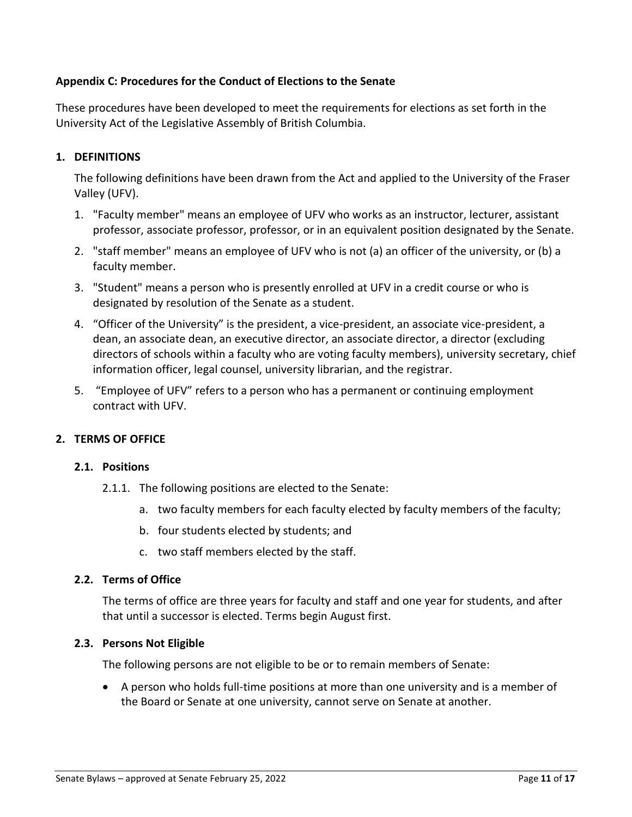# **Appendix C: Procedures for the Conduct of Elections to the Senate**

These procedures have been developed to meet the requirements for elections as set forth in the University Act of the Legislative Assembly of British Columbia.

## **1. DEFINITIONS**

The following definitions have been drawn from the Act and applied to the University of the Fraser Valley (UFV).

- 1. "Faculty member" means an employee of UFV who works as an instructor, lecturer, assistant professor, associate professor, professor, or in an equivalent position designated by the Senate.
- 2. "staff member" means an employee of UFV who is not (a) an officer of the university, or (b) a faculty member.
- 3. "Student" means a person who is presently enrolled at UFV in a credit course or who is designated by resolution of the Senate as a student.
- 4. "Officer of the University" is the president, a vice-president, an associate vice-president, a dean, an associate dean, an executive director, an associate director, a director (excluding directors of schools within a faculty who are voting faculty members), university secretary, chief information officer, legal counsel, university librarian, and the registrar.
- 5. "Employee of UFV" refers to a person who has a permanent or continuing employment contract with UFV.

#### **2. TERMS OF OFFICE**

#### **2.1. Positions**

- 2.1.1. The following positions are elected to the Senate:
	- a. two faculty members for each faculty elected by faculty members of the faculty;
	- b. four students elected by students; and
	- c. two staff members elected by the staff.

#### **2.2. Terms of Office**

The terms of office are three years for faculty and staff and one year for students, and after that until a successor is elected. Terms begin August first.

#### **2.3. Persons Not Eligible**

The following persons are not eligible to be or to remain members of Senate:

• A person who holds full-time positions at more than one university and is a member of the Board or Senate at one university, cannot serve on Senate at another.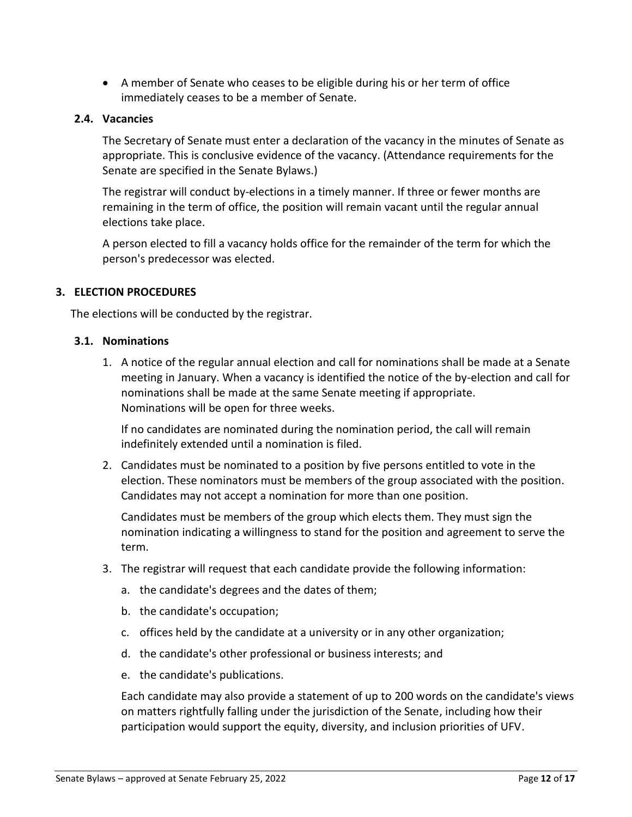• A member of Senate who ceases to be eligible during his or her term of office immediately ceases to be a member of Senate.

## **2.4. Vacancies**

The Secretary of Senate must enter a declaration of the vacancy in the minutes of Senate as appropriate. This is conclusive evidence of the vacancy. (Attendance requirements for the Senate are specified in the Senate Bylaws.)

The registrar will conduct by-elections in a timely manner. If three or fewer months are remaining in the term of office, the position will remain vacant until the regular annual elections take place.

A person elected to fill a vacancy holds office for the remainder of the term for which the person's predecessor was elected.

## **3. ELECTION PROCEDURES**

The elections will be conducted by the registrar.

#### **3.1. Nominations**

1. A notice of the regular annual election and call for nominations shall be made at a Senate meeting in January. When a vacancy is identified the notice of the by-election and call for nominations shall be made at the same Senate meeting if appropriate. Nominations will be open for three weeks.

If no candidates are nominated during the nomination period, the call will remain indefinitely extended until a nomination is filed.

2. Candidates must be nominated to a position by five persons entitled to vote in the election. These nominators must be members of the group associated with the position. Candidates may not accept a nomination for more than one position.

Candidates must be members of the group which elects them. They must sign the nomination indicating a willingness to stand for the position and agreement to serve the term.

- 3. The registrar will request that each candidate provide the following information:
	- a. the candidate's degrees and the dates of them;
	- b. the candidate's occupation;
	- c. offices held by the candidate at a university or in any other organization;
	- d. the candidate's other professional or business interests; and
	- e. the candidate's publications.

Each candidate may also provide a statement of up to 200 words on the candidate's views on matters rightfully falling under the jurisdiction of the Senate, including how their participation would support the equity, diversity, and inclusion priorities of UFV.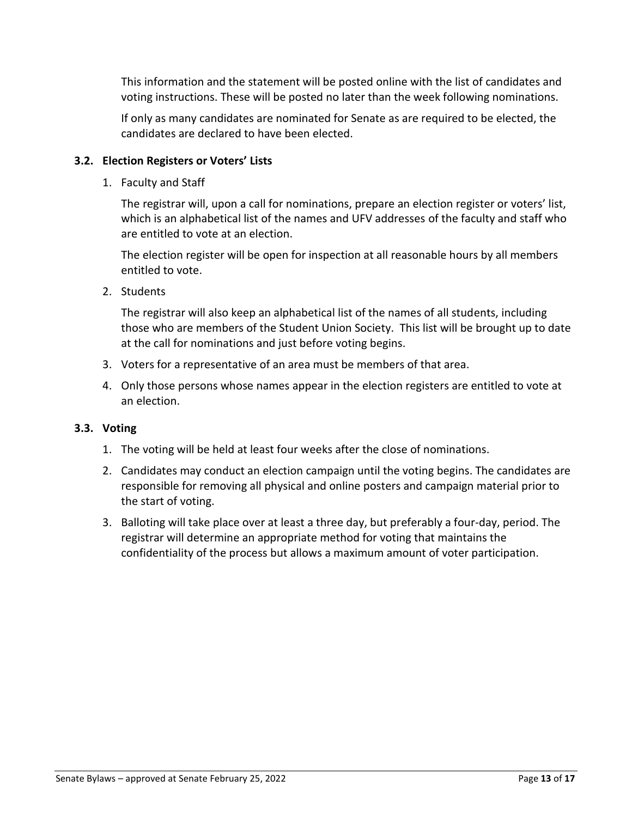This information and the statement will be posted online with the list of candidates and voting instructions. These will be posted no later than the week following nominations.

If only as many candidates are nominated for Senate as are required to be elected, the candidates are declared to have been elected.

# **3.2. Election Registers or Voters' Lists**

1. Faculty and Staff

The registrar will, upon a call for nominations, prepare an election register or voters' list, which is an alphabetical list of the names and UFV addresses of the faculty and staff who are entitled to vote at an election.

The election register will be open for inspection at all reasonable hours by all members entitled to vote.

2. Students

The registrar will also keep an alphabetical list of the names of all students, including those who are members of the Student Union Society. This list will be brought up to date at the call for nominations and just before voting begins.

- 3. Voters for a representative of an area must be members of that area.
- 4. Only those persons whose names appear in the election registers are entitled to vote at an election.

#### **3.3. Voting**

- 1. The voting will be held at least four weeks after the close of nominations.
- 2. Candidates may conduct an election campaign until the voting begins. The candidates are responsible for removing all physical and online posters and campaign material prior to the start of voting.
- 3. Balloting will take place over at least a three day, but preferably a four-day, period. The registrar will determine an appropriate method for voting that maintains the confidentiality of the process but allows a maximum amount of voter participation.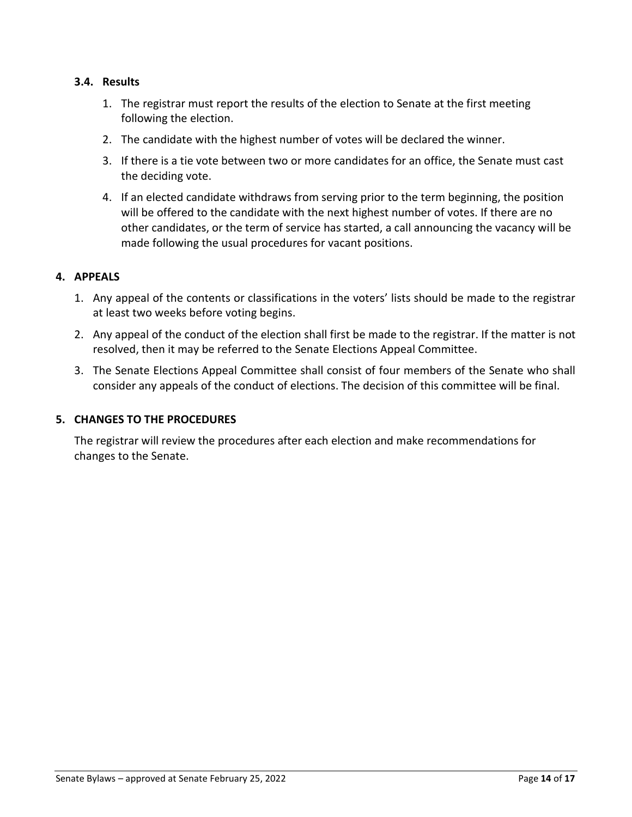## **3.4. Results**

- 1. The registrar must report the results of the election to Senate at the first meeting following the election.
- 2. The candidate with the highest number of votes will be declared the winner.
- 3. If there is a tie vote between two or more candidates for an office, the Senate must cast the deciding vote.
- 4. If an elected candidate withdraws from serving prior to the term beginning, the position will be offered to the candidate with the next highest number of votes. If there are no other candidates, or the term of service has started, a call announcing the vacancy will be made following the usual procedures for vacant positions.

## **4. APPEALS**

- 1. Any appeal of the contents or classifications in the voters' lists should be made to the registrar at least two weeks before voting begins.
- 2. Any appeal of the conduct of the election shall first be made to the registrar. If the matter is not resolved, then it may be referred to the Senate Elections Appeal Committee.
- 3. The Senate Elections Appeal Committee shall consist of four members of the Senate who shall consider any appeals of the conduct of elections. The decision of this committee will be final.

#### **5. CHANGES TO THE PROCEDURES**

The registrar will review the procedures after each election and make recommendations for changes to the Senate.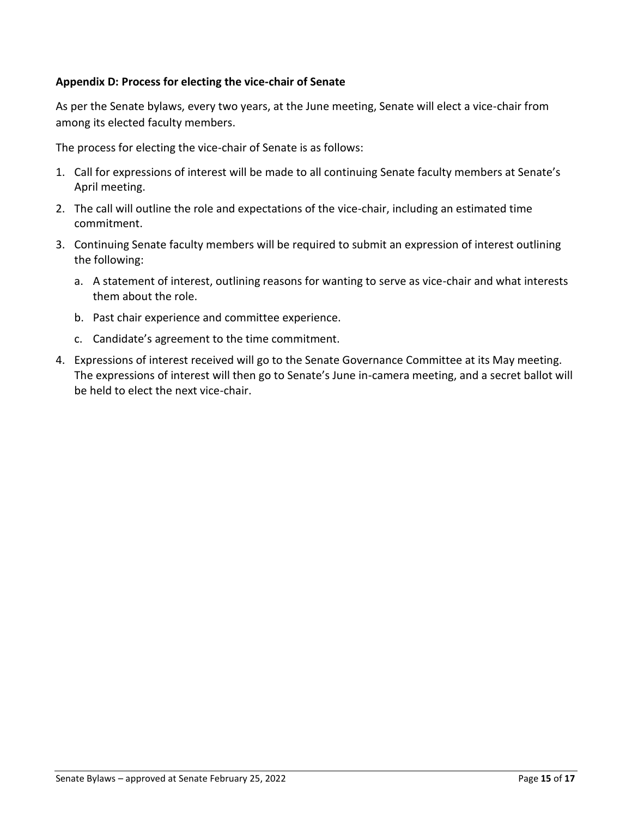# **Appendix D: Process for electing the vice-chair of Senate**

As per the Senate bylaws, every two years, at the June meeting, Senate will elect a vice-chair from among its elected faculty members.

The process for electing the vice-chair of Senate is as follows:

- 1. Call for expressions of interest will be made to all continuing Senate faculty members at Senate's April meeting.
- 2. The call will outline the role and expectations of the vice-chair, including an estimated time commitment.
- 3. Continuing Senate faculty members will be required to submit an expression of interest outlining the following:
	- a. A statement of interest, outlining reasons for wanting to serve as vice-chair and what interests them about the role.
	- b. Past chair experience and committee experience.
	- c. Candidate's agreement to the time commitment.
- 4. Expressions of interest received will go to the Senate Governance Committee at its May meeting. The expressions of interest will then go to Senate's June in-camera meeting, and a secret ballot will be held to elect the next vice-chair.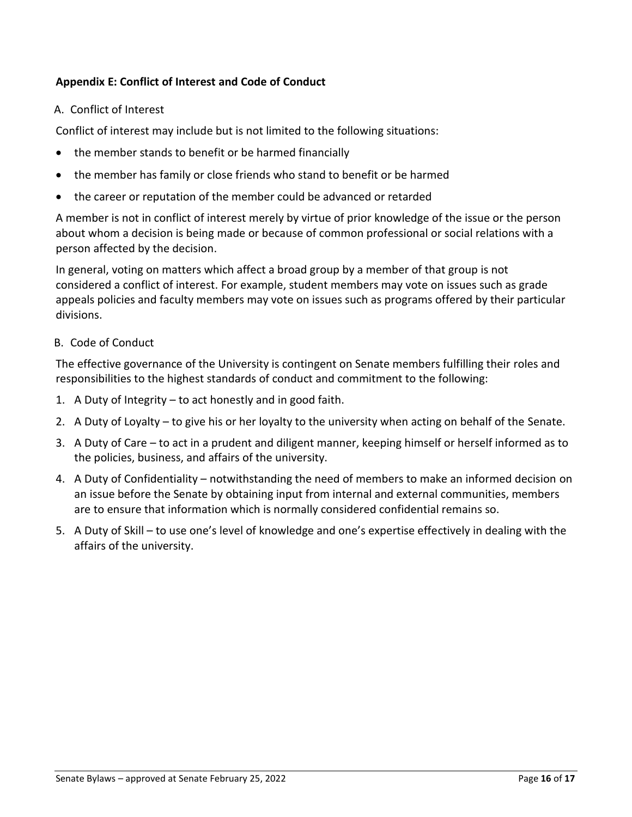# **Appendix E: Conflict of Interest and Code of Conduct**

A. Conflict of Interest

Conflict of interest may include but is not limited to the following situations:

- the member stands to benefit or be harmed financially
- the member has family or close friends who stand to benefit or be harmed
- the career or reputation of the member could be advanced or retarded

A member is not in conflict of interest merely by virtue of prior knowledge of the issue or the person about whom a decision is being made or because of common professional or social relations with a person affected by the decision.

In general, voting on matters which affect a broad group by a member of that group is not considered a conflict of interest. For example, student members may vote on issues such as grade appeals policies and faculty members may vote on issues such as programs offered by their particular divisions.

B. Code of Conduct

The effective governance of the University is contingent on Senate members fulfilling their roles and responsibilities to the highest standards of conduct and commitment to the following:

- 1. A Duty of Integrity to act honestly and in good faith.
- 2. A Duty of Loyalty to give his or her loyalty to the university when acting on behalf of the Senate.
- 3. A Duty of Care to act in a prudent and diligent manner, keeping himself or herself informed as to the policies, business, and affairs of the university.
- 4. A Duty of Confidentiality notwithstanding the need of members to make an informed decision on an issue before the Senate by obtaining input from internal and external communities, members are to ensure that information which is normally considered confidential remains so.
- 5. A Duty of Skill to use one's level of knowledge and one's expertise effectively in dealing with the affairs of the university.